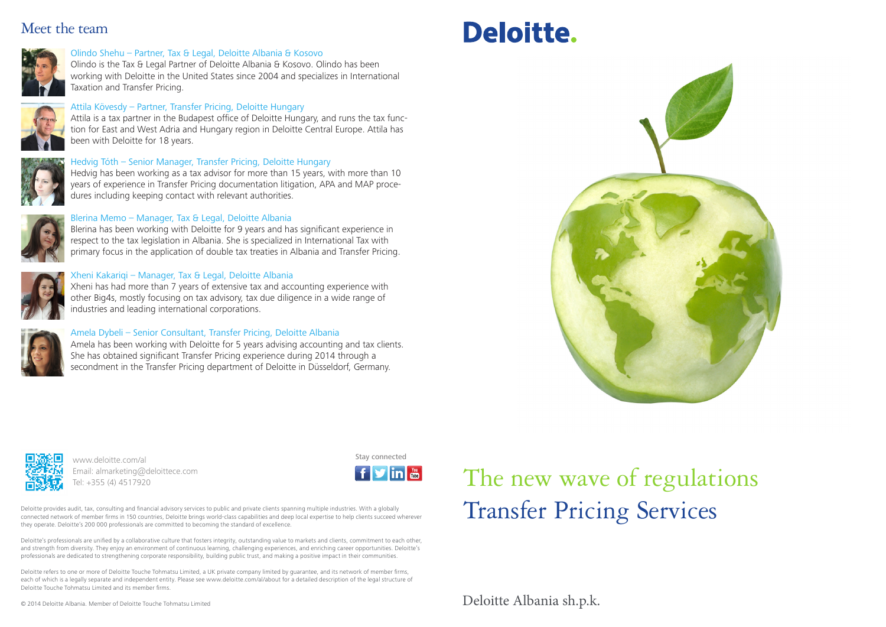## Meet the team



## Olindo Shehu – Partner, Tax & Legal, Deloitte Albania & Kosovo

Olindo is the Tax & Legal Partner of Deloitte Albania & Kosovo. Olindo has been working with Deloitte in the United States since 2004 and specializes in International Taxation and Transfer Pricing.

## Attila Kövesdy – Partner, Transfer Pricing, Deloitte Hungary

Attila is a tax partner in the Budapest office of Deloitte Hungary, and runs the tax function for East and West Adria and Hungary region in Deloitte Central Europe. Attila has been with Deloitte for 18 years.



## Hedvig Tóth – Senior Manager, Transfer Pricing, Deloitte Hungary

Hedvig has been working as a tax advisor for more than 15 years, with more than 10 years of experience in Transfer Pricing documentation litigation, APA and MAP procedures including keeping contact with relevant authorities.



## Blerina Memo – Manager, Tax & Legal, Deloitte Albania

Blerina has been working with Deloitte for 9 years and has significant experience in respect to the tax legislation in Albania. She is specialized in International Tax with primary focus in the application of double tax treaties in Albania and Transfer Pricing.

## Xheni Kakariqi – Manager, Tax & Legal, Deloitte Albania

Xheni has had more than 7 years of extensive tax and accounting experience with other Big4s, mostly focusing on tax advisory, tax due diligence in a wide range of industries and leading international corporations.



## Amela Dybeli – Senior Consultant, Transfer Pricing, Deloitte Albania

Amela has been working with Deloitte for 5 years advising accounting and tax clients. She has obtained significant Transfer Pricing experience during 2014 through a secondment in the Transfer Pricing department of Deloitte in Düsseldorf, Germany.







www.deloitte.com/al entertainment www.deloitte.com/al Email: almarketing@deloittece.com Tel: +355 (4) 4517920



Deloitte provides audit, tax, consulting and financial advisory services to public and private clients spanning multiple industries. With a globally connected network of member firms in 150 countries, Deloitte brings world-class capabilities and deep local expertise to help clients succeed wherever they operate. Deloitte's 200 000 professionals are committed to becoming the standard of excellence.

Deloitte's professionals are unified by a collaborative culture that fosters integrity, outstanding value to markets and clients, commitment to each other, and strength from diversity. They enjoy an environment of continuous learning, challenging experiences, and enriching career opportunities. Deloitte's professionals are dedicated to strengthening corporate responsibility, building public trust, and making a positive impact in their communities.

Deloitte refers to one or more of Deloitte Touche Tohmatsu Limited, a UK private company limited by guarantee, and its network of member firms, each of which is a legally separate and independent entity. Please see www.deloitte.com/al/about for a detailed description of the legal structure of Deloitte Touche Tohmatsu Limited and its member firms.

© 2014 Deloitte Albania. Member of Deloitte Touche Tohmatsu Limited

# Transfer Pricing Services The new wave of regulations

Deloitte Albania sh.p.k.